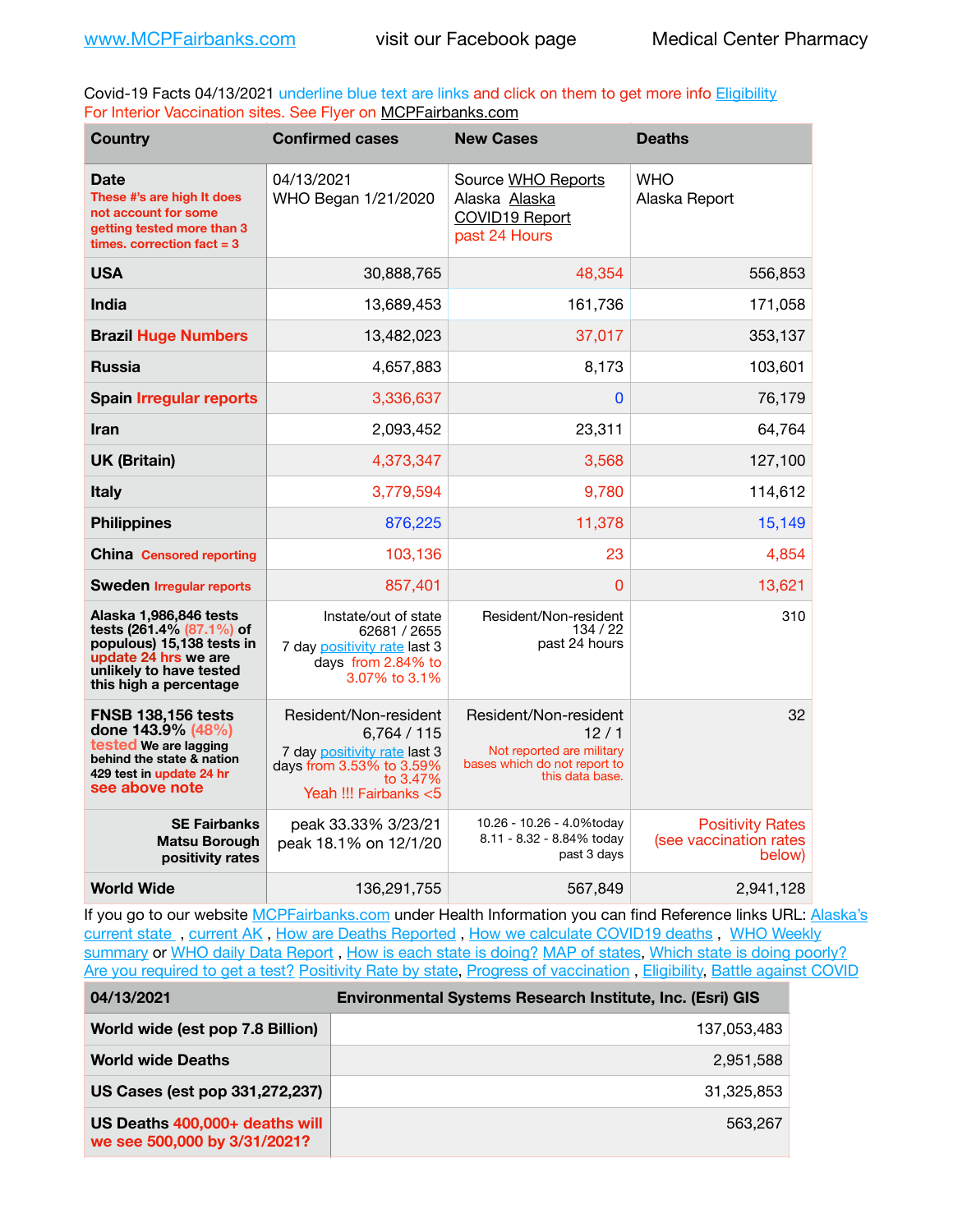Covid-19 Facts 04/13/2021 underline blue text are links and click on them to get more info **Eligibility** For Interior Vaccination sites. See Flyer on [MCPFairbanks.com](http://www.MCPFairbanks.com)

| <b>Country</b>                                                                                                                                               | <b>Confirmed cases</b>                                                                                                              | <b>New Cases</b>                                                                                              | <b>Deaths</b>                                               |
|--------------------------------------------------------------------------------------------------------------------------------------------------------------|-------------------------------------------------------------------------------------------------------------------------------------|---------------------------------------------------------------------------------------------------------------|-------------------------------------------------------------|
| <b>Date</b><br>These #'s are high It does<br>not account for some<br>getting tested more than 3<br>times, correction fact $= 3$                              | 04/13/2021<br>WHO Began 1/21/2020                                                                                                   | Source WHO Reports<br>Alaska Alaska<br><b>COVID19 Report</b><br>past 24 Hours                                 | <b>WHO</b><br>Alaska Report                                 |
| <b>USA</b>                                                                                                                                                   | 30,888,765                                                                                                                          | 48,354                                                                                                        | 556,853                                                     |
| India                                                                                                                                                        | 13,689,453                                                                                                                          | 161,736                                                                                                       | 171,058                                                     |
| <b>Brazil Huge Numbers</b>                                                                                                                                   | 13,482,023                                                                                                                          | 37,017                                                                                                        | 353,137                                                     |
| <b>Russia</b>                                                                                                                                                | 4,657,883                                                                                                                           | 8,173                                                                                                         | 103,601                                                     |
| <b>Spain Irregular reports</b>                                                                                                                               | 3,336,637                                                                                                                           | $\mathbf 0$                                                                                                   | 76,179                                                      |
| <b>Iran</b>                                                                                                                                                  | 2,093,452                                                                                                                           | 23,311                                                                                                        | 64,764                                                      |
| <b>UK (Britain)</b>                                                                                                                                          | 4,373,347                                                                                                                           | 3,568                                                                                                         | 127,100                                                     |
| <b>Italy</b>                                                                                                                                                 | 3,779,594                                                                                                                           | 9,780                                                                                                         | 114,612                                                     |
| <b>Philippines</b>                                                                                                                                           | 876,225                                                                                                                             | 11,378                                                                                                        | 15,149                                                      |
| <b>China</b> Censored reporting                                                                                                                              | 103,136                                                                                                                             | 23                                                                                                            | 4,854                                                       |
| <b>Sweden Irregular reports</b>                                                                                                                              | 857,401                                                                                                                             | 0                                                                                                             | 13,621                                                      |
| Alaska 1,986,846 tests<br>tests (261.4% (87.1%) of<br>populous) 15,138 tests in<br>update 24 hrs we are<br>unlikely to have tested<br>this high a percentage | Instate/out of state<br>62681 / 2655<br>7 day positivity rate last 3<br>days from 2.84% to<br>3.07% to 3.1%                         | Resident/Non-resident<br>134 / 22<br>past 24 hours                                                            | 310                                                         |
| <b>FNSB 138,156 tests</b><br>done 143.9% (48%)<br>tested We are lagging<br>behind the state & nation<br>429 test in update 24 hr<br>see above note           | Resident/Non-resident<br>6,764/115<br>7 day positivity rate last 3<br>days from 3.53% to 3.59%<br>to 3.47%<br>Yeah !!! Fairbanks <5 | Resident/Non-resident<br>12/1<br>Not reported are military<br>bases which do not report to<br>this data base. | 32                                                          |
| <b>SE Fairbanks</b><br>Matsu Borough<br>positivity rates                                                                                                     | peak 33.33% 3/23/21<br>peak 18.1% on 12/1/20                                                                                        | 10.26 - 10.26 - 4.0%today<br>8.11 - 8.32 - 8.84% today<br>past 3 days                                         | <b>Positivity Rates</b><br>(see vaccination rates<br>below) |
| <b>World Wide</b>                                                                                                                                            | 136,291,755                                                                                                                         | 567,849                                                                                                       | 2,941,128                                                   |

If you go to our website [MCPFairbanks.com](http://www.MCPFairbanks.com) under Health Information you can find Reference links URL: Alaska's [current state](https://coronavirus-response-alaska-dhss.hub.arcgis.com) , [current AK](http://dhss.alaska.gov/dph/Epi/id/Pages/COVID-19/communications.aspx#cases) , [How are Deaths Reported](http://dhss.alaska.gov/dph/Epi/id/Pages/COVID-19/deathcounts.aspx) , [How we calculate COVID19 deaths](https://coronavirus-response-alaska-dhss.hub.arcgis.com/search?collection=Document&groupIds=41ccb3344ebc4bd682c74073eba21f42) , [WHO Weekly](http://www.who.int)  [summary](http://www.who.int) or [WHO daily Data Report](https://covid19.who.int/table), [How is each state is doing?](https://www.msn.com/en-us/news/us/state-by-state-coronavirus-news/ar-BB13E1PX?fbclid=IwAR0_OBJH7lSyTN3ug_MsOeFnNgB1orTa9OBgilKJ7dhnwlVvHEsptuKkj1c) [MAP of states,](https://www.nationalgeographic.com/science/graphics/graphic-tracking-coronavirus-infections-us?cmpid=org=ngp::mc=crm-email::src=ngp::cmp=editorial::add=SpecialEdition_20210305&rid=B9A6DF5992658E8E35CE023113CFEA4C) [Which state is doing poorly?](https://bestlifeonline.com/covid-outbreak-your-state/?utm_source=nsltr&utm_medium=email&utm_content=covid-outbreak-your-state&utm_campaign=launch) [Are you required to get a test?](http://dhss.alaska.gov/dph/Epi/id/SiteAssets/Pages/HumanCoV/Whattodoafteryourtest.pdf) [Positivity Rate by state](https://coronavirus.jhu.edu/testing/individual-states/alaska), Progress of vaccination, [Eligibility,](http://dhss.alaska.gov/dph/Epi/id/Pages/COVID-19/VaccineAvailability.aspx) [Battle against COVID](https://www.nationalgeographic.com/science/graphics/graphic-tracking-coronavirus-infections-us?cmpid=org=ngp::mc=crm-email::src=ngp::cmp=editorial::add=SpecialEdition_20210219&rid=B9A6DF5992658E8E35CE023113CFEA4C)

| 04/13/2021                                                     | <b>Environmental Systems Research Institute, Inc. (Esri) GIS</b> |
|----------------------------------------------------------------|------------------------------------------------------------------|
| World wide (est pop 7.8 Billion)                               | 137,053,483                                                      |
| <b>World wide Deaths</b>                                       | 2.951.588                                                        |
| US Cases (est pop 331,272,237)                                 | 31.325.853                                                       |
| US Deaths 400,000+ deaths will<br>we see 500,000 by 3/31/2021? | 563.267                                                          |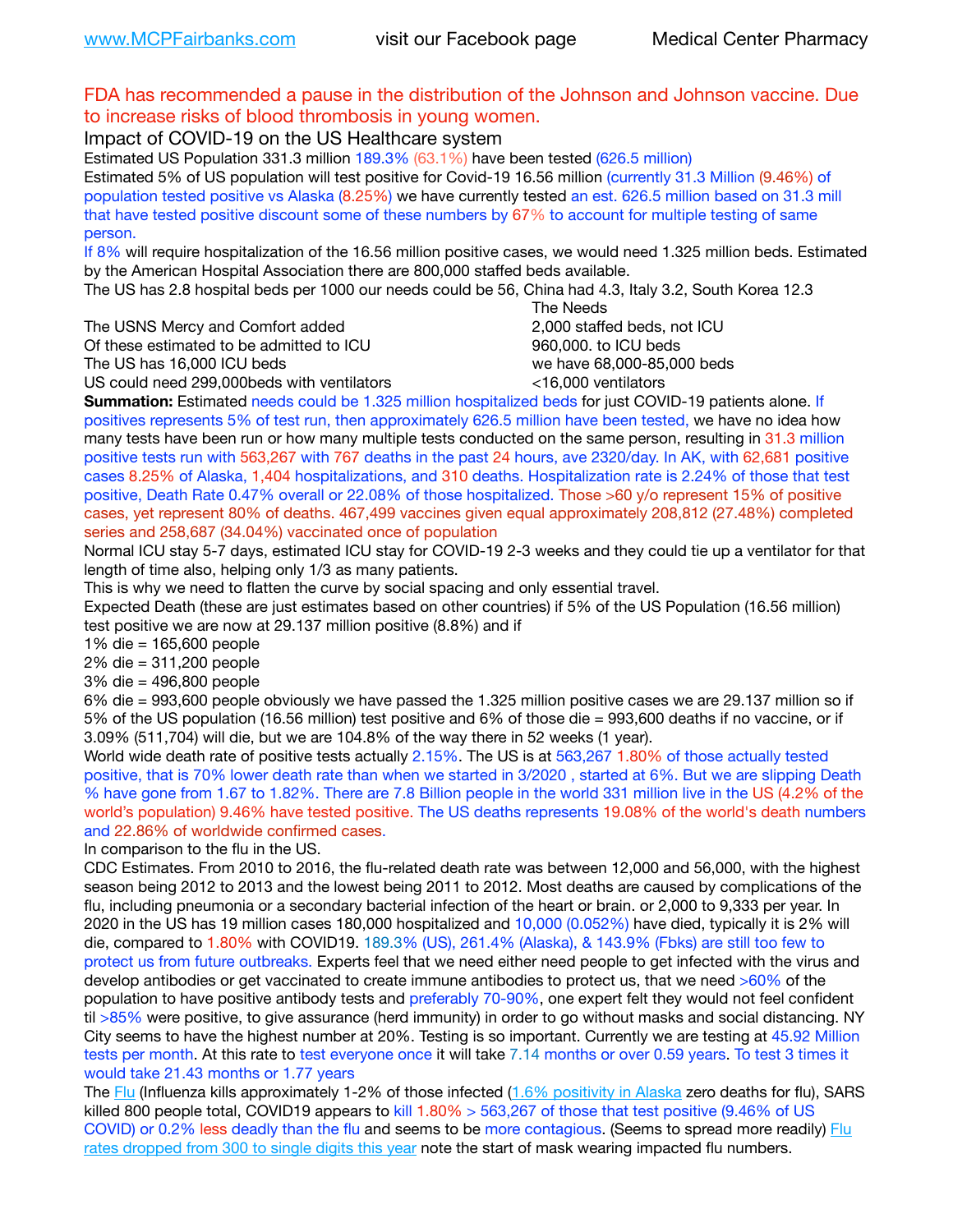## FDA has recommended a pause in the distribution of the Johnson and Johnson vaccine. Due to increase risks of blood thrombosis in young women.

## Impact of COVID-19 on the US Healthcare system

Estimated US Population 331.3 million 189.3% (63.1%) have been tested (626.5 million)

Estimated 5% of US population will test positive for Covid-19 16.56 million (currently 31.3 Million (9.46%) of population tested positive vs Alaska (8.25%) we have currently tested an est. 626.5 million based on 31.3 mill that have tested positive discount some of these numbers by 67% to account for multiple testing of same person.

If 8% will require hospitalization of the 16.56 million positive cases, we would need 1.325 million beds. Estimated by the American Hospital Association there are 800,000 staffed beds available.

The US has 2.8 hospital beds per 1000 our needs could be 56, China had 4.3, Italy 3.2, South Korea 12.3

The USNS Mercy and Comfort added 2,000 staffed beds, not ICU

Of these estimated to be admitted to ICU **860,000**, to ICU beds

 The Needs The US has 16,000 ICU beds we have 68,000-85,000 beds

US could need 299,000 beds with ventilators  $\leq$ 16,000 ventilators

**Summation:** Estimated needs could be 1.325 million hospitalized beds for just COVID-19 patients alone. If positives represents 5% of test run, then approximately 626.5 million have been tested, we have no idea how many tests have been run or how many multiple tests conducted on the same person, resulting in 31.3 million positive tests run with 563,267 with 767 deaths in the past 24 hours, ave 2320/day. In AK, with 62,681 positive cases 8.25% of Alaska, 1,404 hospitalizations, and 310 deaths. Hospitalization rate is 2.24% of those that test positive, Death Rate 0.47% overall or 22.08% of those hospitalized. Those >60 y/o represent 15% of positive cases, yet represent 80% of deaths. 467,499 vaccines given equal approximately 208,812 (27.48%) completed series and 258,687 (34.04%) vaccinated once of population

Normal ICU stay 5-7 days, estimated ICU stay for COVID-19 2-3 weeks and they could tie up a ventilator for that length of time also, helping only 1/3 as many patients.

This is why we need to flatten the curve by social spacing and only essential travel.

Expected Death (these are just estimates based on other countries) if 5% of the US Population (16.56 million) test positive we are now at 29.137 million positive (8.8%) and if

1% die = 165,600 people

2% die = 311,200 people

3% die = 496,800 people

6% die = 993,600 people obviously we have passed the 1.325 million positive cases we are 29.137 million so if 5% of the US population (16.56 million) test positive and 6% of those die = 993,600 deaths if no vaccine, or if 3.09% (511,704) will die, but we are 104.8% of the way there in 52 weeks (1 year).

World wide death rate of positive tests actually 2.15%. The US is at 563,267 1.80% of those actually tested positive, that is 70% lower death rate than when we started in 3/2020 , started at 6%. But we are slipping Death % have gone from 1.67 to 1.82%. There are 7.8 Billion people in the world 331 million live in the US (4.2% of the world's population) 9.46% have tested positive. The US deaths represents 19.08% of the world's death numbers and 22.86% of worldwide confirmed cases.

In comparison to the flu in the US.

CDC Estimates. From 2010 to 2016, the flu-related death rate was between 12,000 and 56,000, with the highest season being 2012 to 2013 and the lowest being 2011 to 2012. Most deaths are caused by complications of the flu, including pneumonia or a secondary bacterial infection of the heart or brain. or 2,000 to 9,333 per year. In 2020 in the US has 19 million cases 180,000 hospitalized and 10,000 (0.052%) have died, typically it is 2% will die, compared to 1.80% with COVID19. 189.3% (US), 261.4% (Alaska), & 143.9% (Fbks) are still too few to protect us from future outbreaks. Experts feel that we need either need people to get infected with the virus and develop antibodies or get vaccinated to create immune antibodies to protect us, that we need >60% of the population to have positive antibody tests and preferably 70-90%, one expert felt they would not feel confident til >85% were positive, to give assurance (herd immunity) in order to go without masks and social distancing. NY City seems to have the highest number at 20%. Testing is so important. Currently we are testing at 45.92 Million tests per month. At this rate to test everyone once it will take 7.14 months or over 0.59 years. To test 3 times it would take 21.43 months or 1.77 years

The [Flu](https://lnks.gd/l/eyJhbGciOiJIUzI1NiJ9.eyJidWxsZXRpbl9saW5rX2lkIjoxMDMsInVyaSI6ImJwMjpjbGljayIsImJ1bGxldGluX2lkIjoiMjAyMTAyMjYuMzYwNDA3NTEiLCJ1cmwiOiJodHRwczovL3d3dy5jZGMuZ292L2ZsdS93ZWVrbHkvb3ZlcnZpZXcuaHRtIn0.ePMA_hsZ-pTnhWSyg1gHvHWYTu2XceVOt0JejxvP1WE/s/500544915/br/98428119752-l) (Influenza kills approximately 1-2% of those infected ([1.6% positivity in Alaska](http://dhss.alaska.gov/dph/Epi/id/SiteAssets/Pages/influenza/trends/Snapshot.pdf) zero deaths for flu), SARS killed 800 people total, COVID19 appears to kill  $1.80\% > 563,267$  of those that test positive (9.46% of US COVID) or 0.2% less deadly than the flu and seems to be more contagious. (Seems to spread more readily) Flu [rates dropped from 300 to single digits this year](https://lnks.gd/l/eyJhbGciOiJIUzI1NiJ9.eyJidWxsZXRpbl9saW5rX2lkIjoxMDEsInVyaSI6ImJwMjpjbGljayIsImJ1bGxldGluX2lkIjoiMjAyMTAyMjYuMzYwNDA3NTEiLCJ1cmwiOiJodHRwOi8vZGhzcy5hbGFza2EuZ292L2RwaC9FcGkvaWQvUGFnZXMvaW5mbHVlbnphL2ZsdWluZm8uYXNweCJ9.oOe3nt2fww6XpsNhb4FZfmtPfPa-irGaldpkURBJhSo/s/500544915/br/98428119752-l) note the start of mask wearing impacted flu numbers.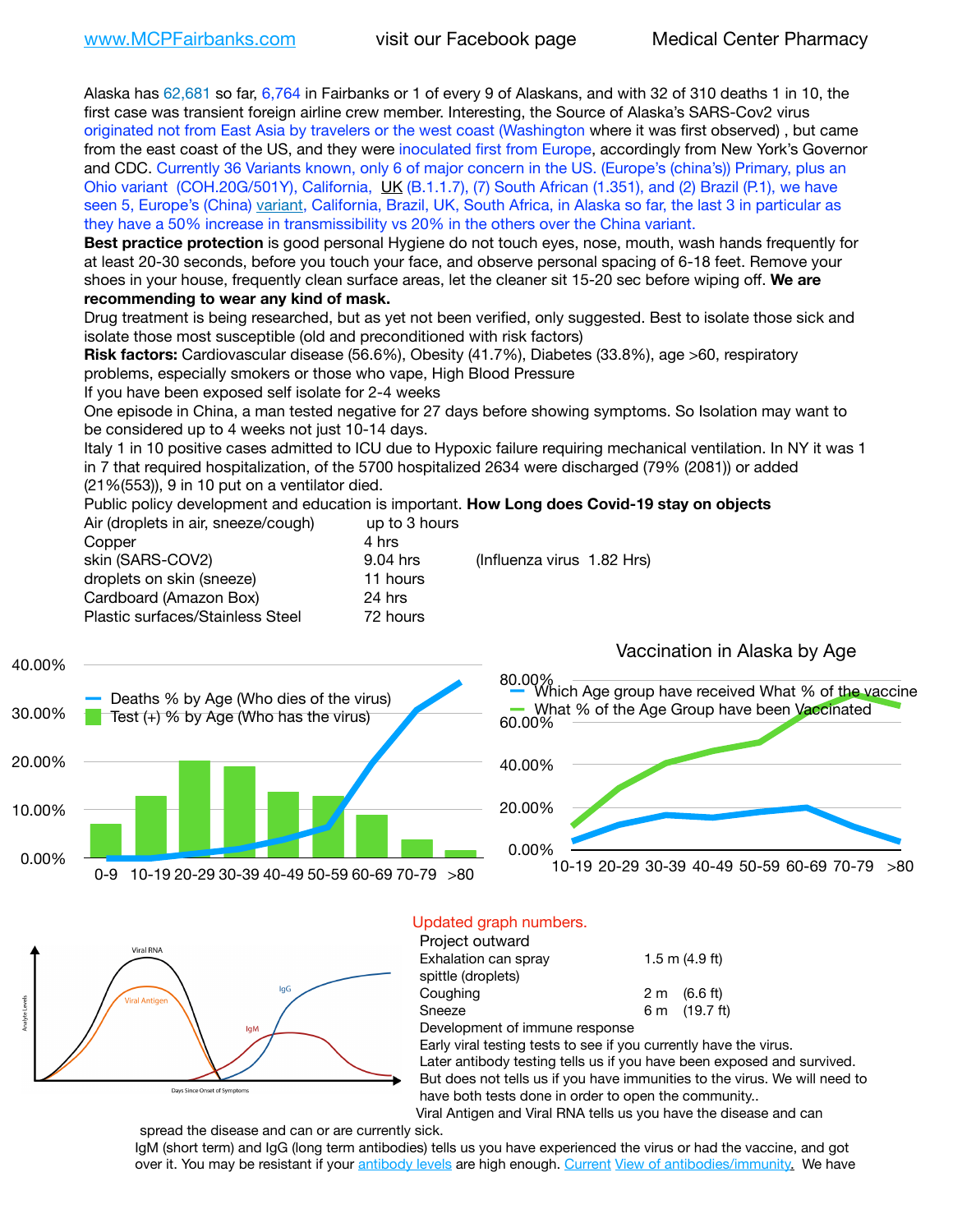Alaska has 62,681 so far, 6,764 in Fairbanks or 1 of every 9 of Alaskans, and with 32 of 310 deaths 1 in 10, the first case was transient foreign airline crew member. Interesting, the Source of Alaska's SARS-Cov2 virus originated not from East Asia by travelers or the west coast (Washington where it was first observed) , but came from the east coast of the US, and they were inoculated first from Europe, accordingly from New York's Governor and CDC. Currently 36 Variants known, only 6 of major concern in the US. (Europe's (china's)) Primary, plus an Ohio variant (COH.20G/501Y), California, [UK](https://www.cdc.gov/coronavirus/2019-ncov/transmission/variant-cases.html) (B.1.1.7), (7) South African (1.351), and (2) Brazil (P.1), we have seen 5, Europe's (China) [variant,](https://www.webmd.com/lung/news/20210318/cdc-who-create-threat-levels-for-covid-variants?ecd=wnl_cvd_031921&ctr=wnl-cvd-031921&mb=kYbf7DsHb7YGjh/1RUkcAW0T6iorImAU1TDZh18RYs0=_Support_titleLink_2) California, Brazil, UK, South Africa, in Alaska so far, the last 3 in particular as they have a 50% increase in transmissibility vs 20% in the others over the China variant.

**Best practice protection** is good personal Hygiene do not touch eyes, nose, mouth, wash hands frequently for at least 20-30 seconds, before you touch your face, and observe personal spacing of 6-18 feet. Remove your shoes in your house, frequently clean surface areas, let the cleaner sit 15-20 sec before wiping off. **We are recommending to wear any kind of mask.**

Drug treatment is being researched, but as yet not been verified, only suggested. Best to isolate those sick and isolate those most susceptible (old and preconditioned with risk factors)

**Risk factors:** Cardiovascular disease (56.6%), Obesity (41.7%), Diabetes (33.8%), age >60, respiratory problems, especially smokers or those who vape, High Blood Pressure

If you have been exposed self isolate for 2-4 weeks

One episode in China, a man tested negative for 27 days before showing symptoms. So Isolation may want to be considered up to 4 weeks not just 10-14 days.

Italy 1 in 10 positive cases admitted to ICU due to Hypoxic failure requiring mechanical ventilation. In NY it was 1 in 7 that required hospitalization, of the 5700 hospitalized 2634 were discharged (79% (2081)) or added (21%(553)), 9 in 10 put on a ventilator died.

Public policy development and education is important. **How Long does Covid-19 stay on objects** Air (droplets in air, sneeze/cough) up to 3 hours

| All (dioplets in all, sileeze/cough) | ap to o nours |                            |
|--------------------------------------|---------------|----------------------------|
| Copper                               | 4 hrs         |                            |
| skin (SARS-COV2)                     | 9.04 hrs      | (Influenza virus 1.82 Hrs) |
| droplets on skin (sneeze)            | 11 hours      |                            |
| Cardboard (Amazon Box)               | 24 hrs        |                            |
| Plastic surfaces/Stainless Steel     | 72 hours      |                            |
|                                      |               |                            |





#### Updated graph numbers. Project outward

| FIUCCL UULWAIU                                                             |     |                    |
|----------------------------------------------------------------------------|-----|--------------------|
| Exhalation can spray                                                       |     | $1.5$ m $(4.9$ ft) |
| spittle (droplets)                                                         |     |                    |
| Coughing                                                                   | 2 m | (6.6 ft)           |
| Sneeze                                                                     | 6 m | (19.7 ft)          |
| Development of immune response                                             |     |                    |
| Early viral testing tests to see if you currently have the virus.          |     |                    |
| Later antibody testing tells us if you have been exposed and survived.     |     |                    |
| But does not tells us if you have immunities to the virus. We will need to |     |                    |
| have both tests done in order to open the community                        |     |                    |
| Viral Antigen and Viral RNA tells us you have the disease and can          |     |                    |

spread the disease and can or are currently sick.

IgM (short term) and IgG (long term antibodies) tells us you have experienced the virus or had the vaccine, and got over it. You may be resistant if your [antibody levels](https://www.cdc.gov/coronavirus/2019-ncov/lab/resources/antibody-tests.html) are high enough. [Current](https://l.facebook.com/l.php?u=https://www.itv.com/news/2020-10-26/covid-19-antibody-levels-reduce-over-time-study-finds?fbclid=IwAR3Dapzh1qIH1EIOdUQI2y8THf7jfA4KBCaJz8Qg-8xe1YsrR4nsAHDIXSY&h=AT30nut8pkqp0heVuz5W2rT2WFFm-2Ab52BsJxZZCNlGsX58IpPkuVEPULbIUV_M16MAukx1Kwb657DPXxsgDN1rpOQ4gqBtQsmVYiWpnHPJo2RQsU6CPMd14lgLnQnFWxfVi6zvmw&__tn__=-UK-R&c%5B0%5D=AT1GaRAfR_nGAyqcn7TI1-PpvqOqEKXHnz6TDWvRStMnOSH7boQDvTiwTOc6VId9UES6LKiOmm2m88wKCoolkJyOFvakt2Z1Mw8toYWGGoWW23r0MNVBl7cYJXB_UOvGklNHaNnaNr1_S7NhT3BSykNOBg) [View of antibodies/immunity](https://www.livescience.com/antibodies.html)[.](https://www.itv.com/news/2020-10-26/covid-19-antibody-levels-reduce-over-time-study-finds) We have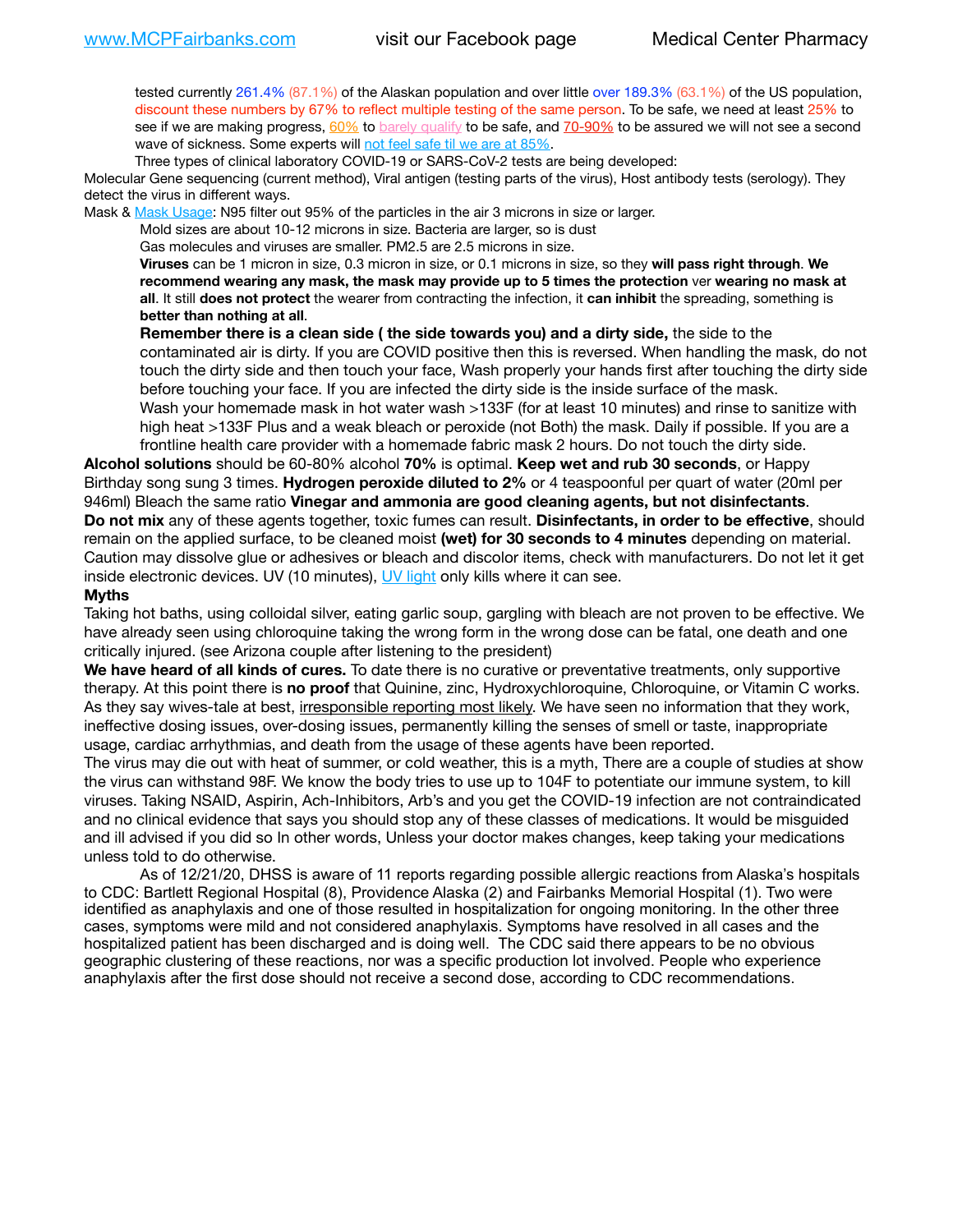tested currently 261.4% (87.1%) of the Alaskan population and over little over 189.3% (63.1%) of the US population, discount these numbers by 67% to reflect multiple testing of the same person. To be safe, we need at least 25% to see if we are making progress, [60%](https://www.jhsph.edu/covid-19/articles/achieving-herd-immunity-with-covid19.html) to [barely qualify](https://www.nature.com/articles/d41586-020-02948-4) to be safe, and [70-90%](https://www.mayoclinic.org/herd-immunity-and-coronavirus/art-20486808) to be assured we will not see a second wave of sickness. Some experts will [not feel safe til we are at 85%.](https://www.bannerhealth.com/healthcareblog/teach-me/what-is-herd-immunity)

Three types of clinical laboratory COVID-19 or SARS-CoV-2 tests are being developed:

Molecular Gene sequencing (current method), Viral antigen (testing parts of the virus), Host antibody tests (serology). They detect the virus in different ways.

Mask & [Mask Usage:](https://www.nationalgeographic.com/history/2020/03/how-cities-flattened-curve-1918-spanish-flu-pandemic-coronavirus/) N95 filter out 95% of the particles in the air 3 microns in size or larger.

Mold sizes are about 10-12 microns in size. Bacteria are larger, so is dust

Gas molecules and viruses are smaller. PM2.5 are 2.5 microns in size.

**Viruses** can be 1 micron in size, 0.3 micron in size, or 0.1 microns in size, so they **will pass right through**. **We recommend wearing any mask, the mask may provide up to 5 times the protection** ver **wearing no mask at all**. It still **does not protect** the wearer from contracting the infection, it **can inhibit** the spreading, something is **better than nothing at all**.

**Remember there is a clean side ( the side towards you) and a dirty side,** the side to the contaminated air is dirty. If you are COVID positive then this is reversed. When handling the mask, do not touch the dirty side and then touch your face, Wash properly your hands first after touching the dirty side before touching your face. If you are infected the dirty side is the inside surface of the mask. Wash your homemade mask in hot water wash >133F (for at least 10 minutes) and rinse to sanitize with high heat >133F Plus and a weak bleach or peroxide (not Both) the mask. Daily if possible. If you are a frontline health care provider with a homemade fabric mask 2 hours. Do not touch the dirty side.

**Alcohol solutions** should be 60-80% alcohol **70%** is optimal. **Keep wet and rub 30 seconds**, or Happy Birthday song sung 3 times. **Hydrogen peroxide diluted to 2%** or 4 teaspoonful per quart of water (20ml per 946ml) Bleach the same ratio **Vinegar and ammonia are good cleaning agents, but not disinfectants**. **Do not mix** any of these agents together, toxic fumes can result. **Disinfectants, in order to be effective**, should remain on the applied surface, to be cleaned moist **(wet) for 30 seconds to 4 minutes** depending on material. Caution may dissolve glue or adhesives or bleach and discolor items, check with manufacturers. Do not let it get inside electronic devices. UV (10 minutes), [UV light](http://www.docreviews.me/best-uv-boxes-2020/?fbclid=IwAR3bvFtXB48OoBBSvYvTEnKuHNPbipxM6jUo82QUSw9wckxjC7wwRZWabGw) only kills where it can see.

#### **Myths**

Taking hot baths, using colloidal silver, eating garlic soup, gargling with bleach are not proven to be effective. We have already seen using chloroquine taking the wrong form in the wrong dose can be fatal, one death and one critically injured. (see Arizona couple after listening to the president)

**We have heard of all kinds of cures.** To date there is no curative or preventative treatments, only supportive therapy. At this point there is **no proof** that Quinine, zinc, Hydroxychloroquine, Chloroquine, or Vitamin C works. As they say wives-tale at best, irresponsible reporting most likely. We have seen no information that they work, ineffective dosing issues, over-dosing issues, permanently killing the senses of smell or taste, inappropriate usage, cardiac arrhythmias, and death from the usage of these agents have been reported.

The virus may die out with heat of summer, or cold weather, this is a myth, There are a couple of studies at show the virus can withstand 98F. We know the body tries to use up to 104F to potentiate our immune system, to kill viruses. Taking NSAID, Aspirin, Ach-Inhibitors, Arb's and you get the COVID-19 infection are not contraindicated and no clinical evidence that says you should stop any of these classes of medications. It would be misguided and ill advised if you did so In other words, Unless your doctor makes changes, keep taking your medications unless told to do otherwise.

As of 12/21/20, DHSS is aware of 11 reports regarding possible allergic reactions from Alaska's hospitals to CDC: Bartlett Regional Hospital (8), Providence Alaska (2) and Fairbanks Memorial Hospital (1). Two were identified as anaphylaxis and one of those resulted in hospitalization for ongoing monitoring. In the other three cases, symptoms were mild and not considered anaphylaxis. Symptoms have resolved in all cases and the hospitalized patient has been discharged and is doing well. The CDC said there appears to be no obvious geographic clustering of these reactions, nor was a specific production lot involved. People who experience anaphylaxis after the first dose should not receive a second dose, according to CDC recommendations.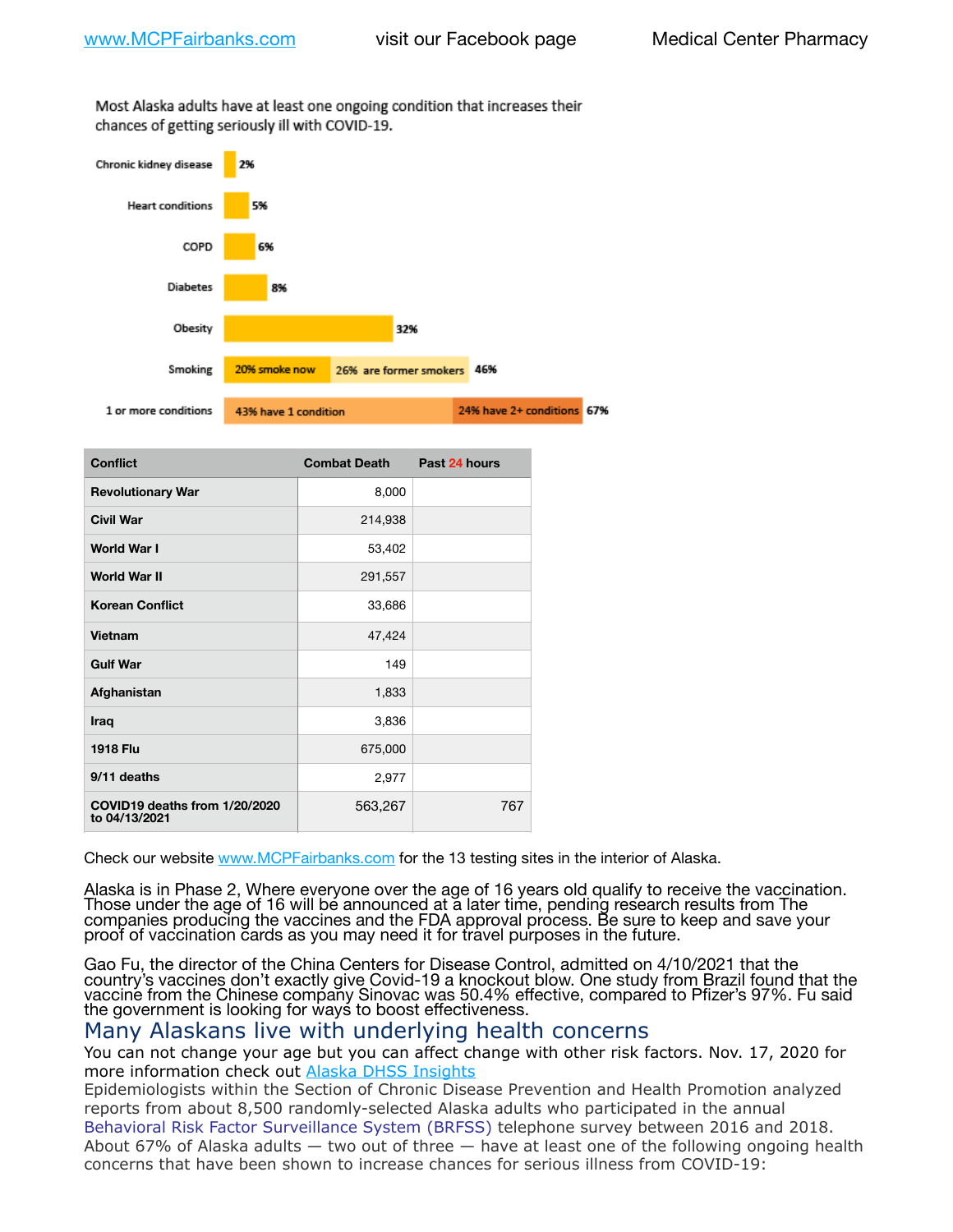Most Alaska adults have at least one ongoing condition that increases their chances of getting seriously ill with COVID-19.



| <b>Conflict</b>                                | <b>Combat Death</b> | Past 24 hours |
|------------------------------------------------|---------------------|---------------|
| <b>Revolutionary War</b>                       | 8,000               |               |
| <b>Civil War</b>                               | 214,938             |               |
| <b>World War I</b>                             | 53,402              |               |
| <b>World War II</b>                            | 291,557             |               |
| <b>Korean Conflict</b>                         | 33,686              |               |
| Vietnam                                        | 47,424              |               |
| <b>Gulf War</b>                                | 149                 |               |
| Afghanistan                                    | 1,833               |               |
| Iraq                                           | 3,836               |               |
| <b>1918 Flu</b>                                | 675,000             |               |
| 9/11 deaths                                    | 2,977               |               |
| COVID19 deaths from 1/20/2020<br>to 04/13/2021 | 563,267             | 767           |

Check our website [www.MCPFairbanks.com](http://www.MCPFairbanks.com) for the 13 testing sites in the interior of Alaska.

Alaska is in Phase 2, Where everyone over the age of 16 years old qualify to receive the vaccination. Those under the age of 16 will be announced at a later time, pending research results from The companies producing the vaccines and the FDA approval process. Be sure to keep and save your proof of vaccination cards as you may need it for travel purposes in the future.

Gao Fu, the director of the China Centers for Disease Control, admitted on 4/10/2021 that the country's vaccines don't exactly give Covid-19 a knockout blow. One study from Brazil found that the vaccine from the Chinese company Sinovac was 50.4% effective, compared to Pfizer's 97%. Fu said the government is looking for ways to boost effectiveness.

# Many Alaskans live with underlying health concerns

You can not change your age but you can affect change with other risk factors. Nov. 17, 2020 for more information check out [Alaska DHSS Insights](http://dhss.alaska.gov/dph/Epi/id/Pages/COVID-19/blog/20201117.aspx)

Epidemiologists within the Section of Chronic Disease Prevention and Health Promotion analyzed reports from about 8,500 randomly-selected Alaska adults who participated in the annual [Behavioral Risk Factor Surveillance System \(BRFSS\)](http://dhss.alaska.gov/dph/Chronic/Pages/brfss/default.aspx) telephone survey between 2016 and 2018. About 67% of Alaska adults — two out of three — have at least one of the following ongoing health concerns that have been shown to increase chances for serious illness from COVID-19: